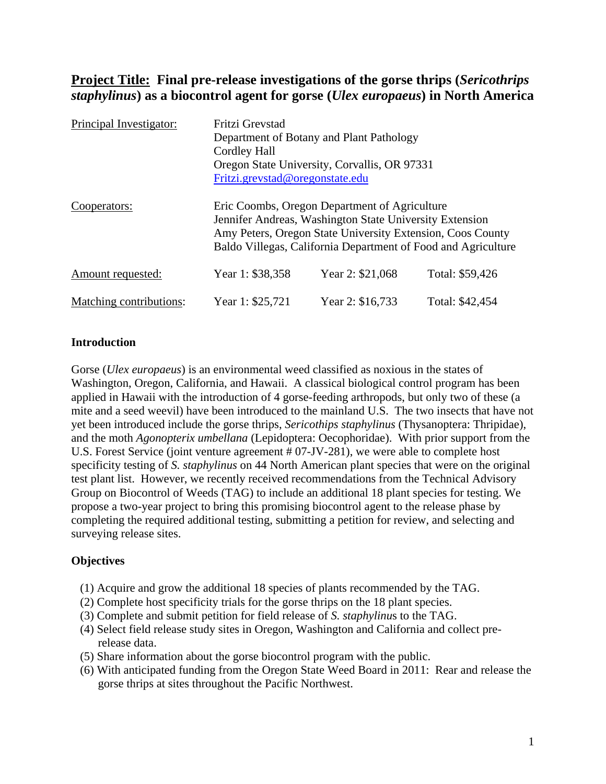# **Project Title: Final pre-release investigations of the gorse thrips (***Sericothrips staphylinus***) as a biocontrol agent for gorse (***Ulex europaeus***) in North America**

| Principal Investigator: | Fritzi Grevstad<br>Department of Botany and Plant Pathology<br><b>Cordley Hall</b><br>Oregon State University, Corvallis, OR 97331<br>Fritzi.grevstad@oregonstate.edu                                                                   |                  |                 |  |  |  |  |  |
|-------------------------|-----------------------------------------------------------------------------------------------------------------------------------------------------------------------------------------------------------------------------------------|------------------|-----------------|--|--|--|--|--|
| Cooperators:            | Eric Coombs, Oregon Department of Agriculture<br>Jennifer Andreas, Washington State University Extension<br>Amy Peters, Oregon State University Extension, Coos County<br>Baldo Villegas, California Department of Food and Agriculture |                  |                 |  |  |  |  |  |
| Amount requested:       | Year 1: \$38,358                                                                                                                                                                                                                        | Year 2: \$21,068 | Total: \$59,426 |  |  |  |  |  |
| Matching contributions: | Year 1: \$25,721                                                                                                                                                                                                                        | Year 2: \$16,733 | Total: \$42,454 |  |  |  |  |  |

## **Introduction**

Gorse (*Ulex europaeus*) is an environmental weed classified as noxious in the states of Washington, Oregon, California, and Hawaii. A classical biological control program has been applied in Hawaii with the introduction of 4 gorse-feeding arthropods, but only two of these (a mite and a seed weevil) have been introduced to the mainland U.S. The two insects that have not yet been introduced include the gorse thrips, *Sericothips staphylinus* (Thysanoptera: Thripidae), and the moth *Agonopterix umbellana* (Lepidoptera: Oecophoridae). With prior support from the U.S. Forest Service (joint venture agreement # 07-JV-281), we were able to complete host specificity testing of *S. staphylinus* on 44 North American plant species that were on the original test plant list. However, we recently received recommendations from the Technical Advisory Group on Biocontrol of Weeds (TAG) to include an additional 18 plant species for testing. We propose a two-year project to bring this promising biocontrol agent to the release phase by completing the required additional testing, submitting a petition for review, and selecting and surveying release sites.

# **Objectives**

- (1) Acquire and grow the additional 18 species of plants recommended by the TAG.
- (2) Complete host specificity trials for the gorse thrips on the 18 plant species.
- (3) Complete and submit petition for field release of *S. staphylinu*s to the TAG.
- (4) Select field release study sites in Oregon, Washington and California and collect prerelease data.
- (5) Share information about the gorse biocontrol program with the public.
- (6) With anticipated funding from the Oregon State Weed Board in 2011: Rear and release the gorse thrips at sites throughout the Pacific Northwest.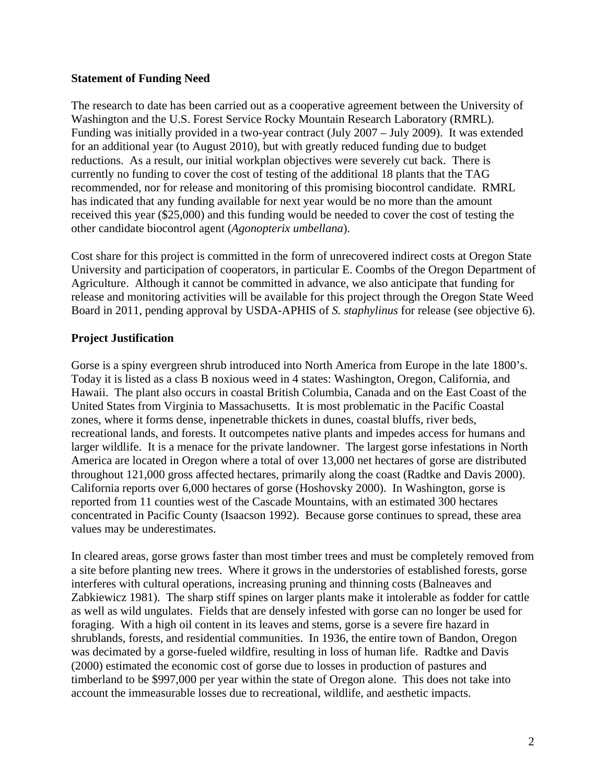## **Statement of Funding Need**

The research to date has been carried out as a cooperative agreement between the University of Washington and the U.S. Forest Service Rocky Mountain Research Laboratory (RMRL). Funding was initially provided in a two-year contract (July 2007 – July 2009). It was extended for an additional year (to August 2010), but with greatly reduced funding due to budget reductions. As a result, our initial workplan objectives were severely cut back. There is currently no funding to cover the cost of testing of the additional 18 plants that the TAG recommended, nor for release and monitoring of this promising biocontrol candidate. RMRL has indicated that any funding available for next year would be no more than the amount received this year (\$25,000) and this funding would be needed to cover the cost of testing the other candidate biocontrol agent (*Agonopterix umbellana*).

Cost share for this project is committed in the form of unrecovered indirect costs at Oregon State University and participation of cooperators, in particular E. Coombs of the Oregon Department of Agriculture. Although it cannot be committed in advance, we also anticipate that funding for release and monitoring activities will be available for this project through the Oregon State Weed Board in 2011, pending approval by USDA-APHIS of *S. staphylinus* for release (see objective 6).

# **Project Justification**

Gorse is a spiny evergreen shrub introduced into North America from Europe in the late 1800's. Today it is listed as a class B noxious weed in 4 states: Washington, Oregon, California, and Hawaii. The plant also occurs in coastal British Columbia, Canada and on the East Coast of the United States from Virginia to Massachusetts. It is most problematic in the Pacific Coastal zones, where it forms dense, inpenetrable thickets in dunes, coastal bluffs, river beds, recreational lands, and forests. It outcompetes native plants and impedes access for humans and larger wildlife. It is a menace for the private landowner. The largest gorse infestations in North America are located in Oregon where a total of over 13,000 net hectares of gorse are distributed throughout 121,000 gross affected hectares, primarily along the coast (Radtke and Davis 2000). California reports over 6,000 hectares of gorse (Hoshovsky 2000). In Washington, gorse is reported from 11 counties west of the Cascade Mountains, with an estimated 300 hectares concentrated in Pacific County (Isaacson 1992). Because gorse continues to spread, these area values may be underestimates.

In cleared areas, gorse grows faster than most timber trees and must be completely removed from a site before planting new trees. Where it grows in the understories of established forests, gorse interferes with cultural operations, increasing pruning and thinning costs (Balneaves and Zabkiewicz 1981). The sharp stiff spines on larger plants make it intolerable as fodder for cattle as well as wild ungulates. Fields that are densely infested with gorse can no longer be used for foraging. With a high oil content in its leaves and stems, gorse is a severe fire hazard in shrublands, forests, and residential communities. In 1936, the entire town of Bandon, Oregon was decimated by a gorse-fueled wildfire, resulting in loss of human life. Radtke and Davis (2000) estimated the economic cost of gorse due to losses in production of pastures and timberland to be \$997,000 per year within the state of Oregon alone. This does not take into account the immeasurable losses due to recreational, wildlife, and aesthetic impacts.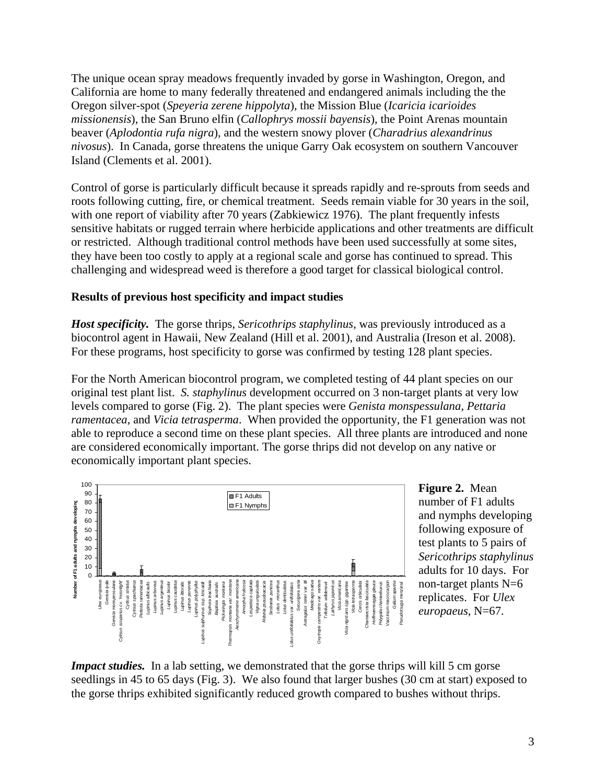The unique ocean spray meadows frequently invaded by gorse in Washington, Oregon, and California are home to many federally threatened and endangered animals including the the Oregon silver-spot (*Speyeria zerene hippolyta*), the Mission Blue (*Icaricia icarioides missionensis*), the San Bruno elfin (*Callophrys mossii bayensis*), the Point Arenas mountain beaver (*Aplodontia rufa nigra*), and the western snowy plover (*Charadrius alexandrinus nivosus*). In Canada, gorse threatens the unique Garry Oak ecosystem on southern Vancouver Island (Clements et al. 2001).

Control of gorse is particularly difficult because it spreads rapidly and re-sprouts from seeds and roots following cutting, fire, or chemical treatment. Seeds remain viable for 30 years in the soil, with one report of viability after 70 years (Zabkiewicz 1976). The plant frequently infests sensitive habitats or rugged terrain where herbicide applications and other treatments are difficult or restricted. Although traditional control methods have been used successfully at some sites, they have been too costly to apply at a regional scale and gorse has continued to spread. This challenging and widespread weed is therefore a good target for classical biological control.

## **Results of previous host specificity and impact studies**

*Host specificity.* The gorse thrips, *Sericothrips staphylinus*, was previously introduced as a biocontrol agent in Hawaii, New Zealand (Hill et al. 2001), and Australia (Ireson et al. 2008). For these programs, host specificity to gorse was confirmed by testing 128 plant species.

For the North American biocontrol program, we completed testing of 44 plant species on our original test plant list. *S. staphylinus* development occurred on 3 non-target plants at very low levels compared to gorse (Fig. 2). The plant species were *Genista monspessulana*, *Pettaria ramentacea*, and *Vicia tetrasperma*. When provided the opportunity, the F1 generation was not able to reproduce a second time on these plant species. All three plants are introduced and none are considered economically important. The gorse thrips did not develop on any native or economically important plant species.



**Figure 2.** Mean number of F1 adults and nymphs developin g following exposure of test plants to 5 pairs of *Sericothrips staphylinus* adults for 10 days. F or non-target plants N=6 replicates. For *Ulex*  europaeus, N=67.

*Impact studies.* In a lab setting, we demonstrated that the gorse thrips will kill 5 cm gorse seedlings in 45 to 65 days (Fig. 3). We also found that larger bushes (30 cm at start) exposed to the gorse thrips exhibited significantly reduced growth compared to bushes without thrips.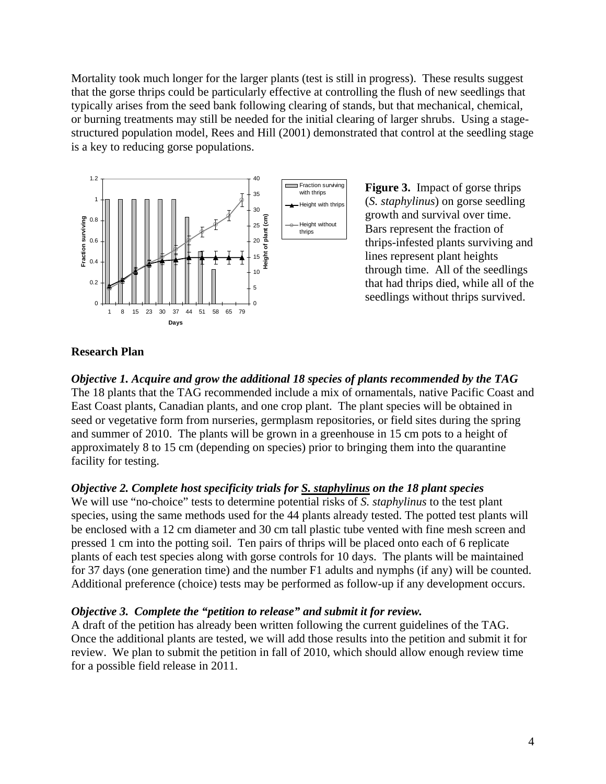Mortality took much longer for the larger plants (test is still in progress). These results suggest that the gorse thrips could be particularly effective at controlling the flush of new seedlings that typically arises from the seed bank following clearing of stands, but that mechanical, chemical, or burning treatments may still be needed for the initial clearing of larger shrubs. Using a stagestructured population model, Rees and Hill (2001) demonstrated that control at the seedling stage is a key to reducing gorse populations.



**Figure 3.** Impact of gorse thrips thrips-infested plants surviving and through time. All of the seedlings (*S. staphylinus*) on gorse seedling growth and survival over time. Bars represent the fraction of lines represent plant heights that had thrips died, while all of the seedlings without thrips survived.

#### **esearch Plan R**

*bjective 1. Acquire and grow the additional 18 species of plants recommended by the TAG O* The 18 plants that the TAG recommended include a mix of ornamentals, native Pacific Coast and East Coast plants, Canadian plants, and one crop plant. The plant species will be obtained in seed or vegetative form from nurseries, germplasm repositories, or field sites during the spring and summer of 2010. The plants will be grown in a greenhouse in 15 cm pots to a height of approximately 8 to 15 cm (depending on species) prior to bringing them into the quarantine facility for testing.

# *<i>Objective 2. Complete host specificity trials for S. staphylinus on the 18 plant species*

We will use "no-choice" tests to determine potential risks of *S. staphylinus* to the test plant species, using the same methods used for the 44 plants already tested. The potted test plants will plants of each test species along with gorse controls for 10 days. The plants will be maintained for 37 days (one generation time) and the number F1 adults and nymphs (if any) will be counted. be enclosed with a 12 cm diameter and 30 cm tall plastic tube vented with fine mesh screen and pressed 1 cm into the potting soil. Ten pairs of thrips will be placed onto each of 6 replicate Additional preference (choice) tests may be performed as follow-up if any development occurs.

#### *<i>biective 3. Complete the "petition to release" and submit it for review.*

A draft of the petition has already been written following the current guidelines of the TAG. Once the additional plants are tested, we will add those results into the petition and submit it for review. We plan to submit the petition in fall of 2010, which should allow enough review time for a possible field release in 2011.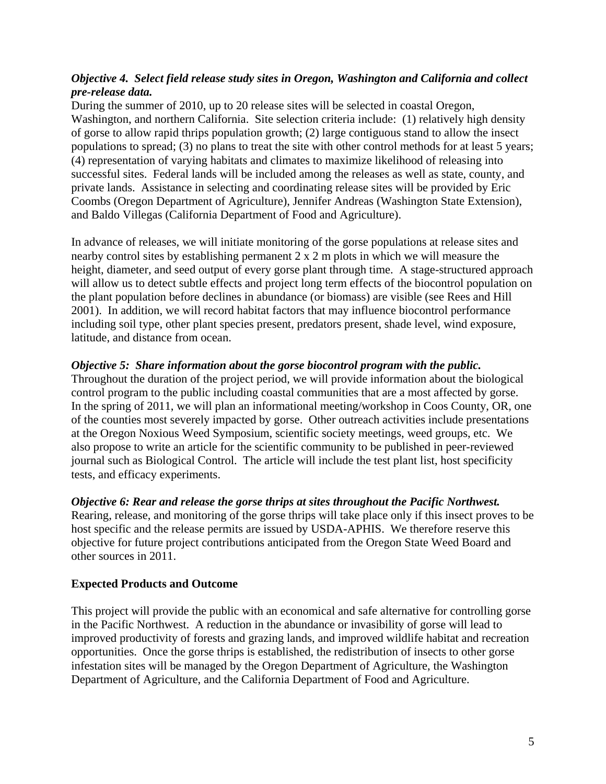# *Objective 4. Select field release study sites in Oregon, Washington and California and collect pre-release data.*

During the summer of 2010, up to 20 release sites will be selected in coastal Oregon, Washington, and northern California. Site selection criteria include: (1) relatively high density of gorse to allow rapid thrips population growth; (2) large contiguous stand to allow the insect populations to spread; (3) no plans to treat the site with other control methods for at least 5 years; (4) representation of varying habitats and climates to maximize likelihood of releasing into successful sites. Federal lands will be included among the releases as well as state, county, and private lands. Assistance in selecting and coordinating release sites will be provided by Eric Coombs (Oregon Department of Agriculture), Jennifer Andreas (Washington State Extension), and Baldo Villegas (California Department of Food and Agriculture).

In advance of releases, we will initiate monitoring of the gorse populations at release sites and nearby control sites by establishing permanent 2 x 2 m plots in which we will measure the height, diameter, and seed output of every gorse plant through time. A stage-structured approach will allow us to detect subtle effects and project long term effects of the biocontrol population on the plant population before declines in abundance (or biomass) are visible (see Rees and Hill 2001). In addition, we will record habitat factors that may influence biocontrol performance including soil type, other plant species present, predators present, shade level, wind exposure, latitude, and distance from ocean.

#### *Objective 5: Share information about the gorse biocontrol program with the public.*

Throughout the duration of the project period, we will provide information about the biological control program to the public including coastal communities that are a most affected by gorse. In the spring of 2011, we will plan an informational meeting/workshop in Coos County, OR, one of the counties most severely impacted by gorse. Other outreach activities include presentations at the Oregon Noxious Weed Symposium, scientific society meetings, weed groups, etc. We also propose to write an article for the scientific community to be published in peer-reviewed journal such as Biological Control. The article will include the test plant list, host specificity tests, and efficacy experiments.

#### *Objective 6: Rear and release the gorse thrips at sites throughout the Pacific Northwest.*

Rearing, release, and monitoring of the gorse thrips will take place only if this insect proves to be host specific and the release permits are issued by USDA-APHIS. We therefore reserve this objective for future project contributions anticipated from the Oregon State Weed Board and other sources in 2011.

#### **Expected Products and Outcome**

This project will provide the public with an economical and safe alternative for controlling gorse in the Pacific Northwest. A reduction in the abundance or invasibility of gorse will lead to improved productivity of forests and grazing lands, and improved wildlife habitat and recreation opportunities. Once the gorse thrips is established, the redistribution of insects to other gorse infestation sites will be managed by the Oregon Department of Agriculture, the Washington Department of Agriculture, and the California Department of Food and Agriculture.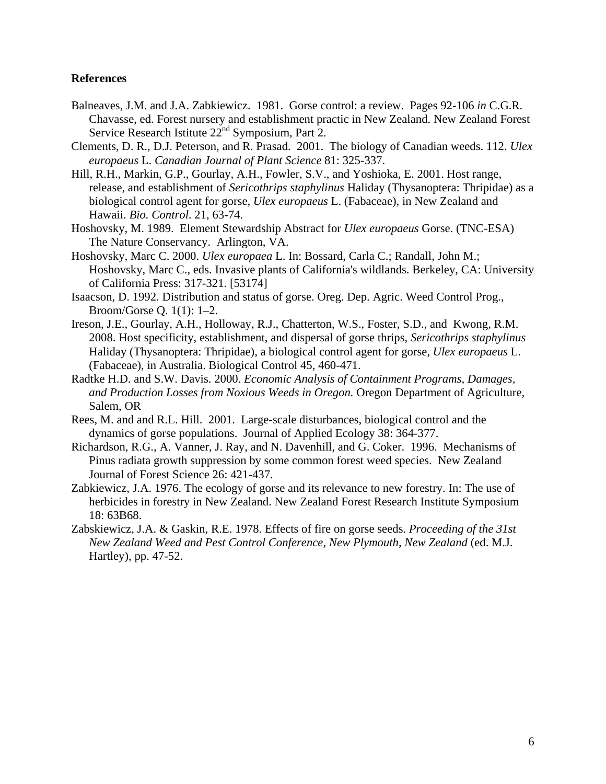#### **References**

- Balneaves, J.M. and J.A. Zabkiewicz. 1981. Gorse control: a review. Pages 92-106 *in* C.G.R. Chavasse, ed. Forest nursery and establishment practic in New Zealand. New Zealand Forest Service Research Istitute 22<sup>nd</sup> Symposium, Part 2.
- Clements, D. R., D.J. Peterson, and R. Prasad. 2001. The biology of Canadian weeds. 112. *Ulex europaeus* L. *Canadian Journal of Plant Science* 81: 325-337.
- Hill, R.H., Markin, G.P., Gourlay, A.H., Fowler, S.V., and Yoshioka, E. 2001. Host range, release, and establishment of *Sericothrips staphylinus* Haliday (Thysanoptera: Thripidae) as a biological control agent for gorse, *Ulex europaeus* L. (Fabaceae), in New Zealand and Hawaii. *Bio. Control*. 21, 63-74.
- Hoshovsky, M. 1989. Element Stewardship Abstract for *Ulex europaeus* Gorse. (TNC-ESA) The Nature Conservancy. Arlington, VA.
- Hoshovsky, Marc C. 2000. *Ulex europaea* L. In: Bossard, Carla C.; Randall, John M.; Hoshovsky, Marc C., eds. Invasive plants of California's wildlands. Berkeley, CA: University of California Press: 317-321. [53174]
- Isaacson, D. 1992. Distribution and status of gorse. Oreg. Dep. Agric. Weed Control Prog., Broom/Gorse Q. 1(1): 1–2.
- Ireson, J.E., Gourlay, A.H., Holloway, R.J., Chatterton, W.S., Foster, S.D., and Kwong, R.M. 2008. Host specificity, establishment, and dispersal of gorse thrips, *Sericothrips staphylinus* Haliday (Thysanoptera: Thripidae), a biological control agent for gorse, *Ulex europaeus* L. (Fabaceae), in Australia. Biological Control 45, 460-471.
- Radtke H.D. and S.W. Davis. 2000. *Economic Analysis of Containment Programs, Damages, and Production Losses from Noxious Weeds in Oregon.* Oregon Department of Agriculture, Salem, OR
- Rees, M. and and R.L. Hill. 2001. Large-scale disturbances, biological control and the dynamics of gorse populations. Journal of Applied Ecology 38: 364-377.
- Richardson, R.G., A. Vanner, J. Ray, and N. Davenhill, and G. Coker. 1996. Mechanisms of Pinus radiata growth suppression by some common forest weed species. New Zealand Journal of Forest Science 26: 421-437.
- Zabkiewicz, J.A. 1976. The ecology of gorse and its relevance to new forestry. In: The use of herbicides in forestry in New Zealand. New Zealand Forest Research Institute Symposium 18: 63B68.
- Zabskiewicz, J.A. & Gaskin, R.E. 1978. Effects of fire on gorse seeds. *Proceeding of the 31st New Zealand Weed and Pest Control Conference, New Plymouth, New Zealand* (ed. M.J. Hartley), pp. 47-52.